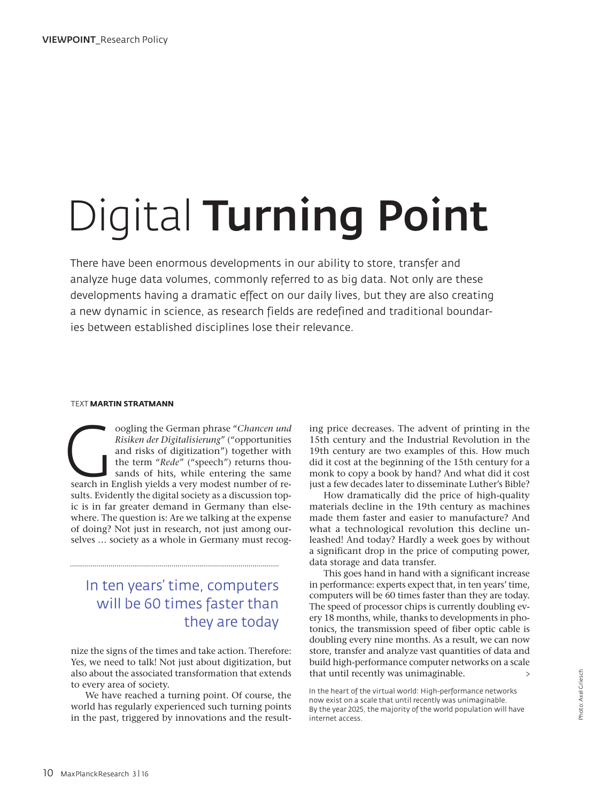# Digital Turning Point

There have been enormous developments in our ability to store, transfer and analyze huge data volumes, commonly referred to as big data. Not only are these developments having a dramatic effect on our daily lives, but they are also creating a new dynamic in science, as research fields are redefined and traditional boundaries between established disciplines lose their relevance.

#### TEXT **MARTIN STRATMANN**

oogling the German phrase "*Chancen und*<br>
Risiken der Digitalisierung" ("opportunities<br>
and risks of digitization") together with<br>
the term "*Rede"* ("speech") returns thousands of hits, while entering the same<br>
search in *Risiken der Digitalisierung*" ("opportunities and risks of digitization") together with the term "*Rede*" ("speech") returns thousands of hits, while entering the same sults. Evidently the digital society as a discussion topic is in far greater demand in Germany than elsewhere. The question is: Are we talking at the expense of doing? Not just in research, not just among ourselves … society as a whole in Germany must recog-

## In ten years' time, computers will be 60 times faster than they are today

nize the signs of the times and take action. Therefore: Yes, we need to talk! Not just about digitization, but also about the associated transformation that extends to every area of society.

We have reached a turning point. Of course, the world has regularly experienced such turning points in the past, triggered by innovations and the resulting price decreases. The advent of printing in the 15th century and the Industrial Revolution in the 19th century are two examples of this. How much did it cost at the beginning of the 15th century for a monk to copy a book by hand? And what did it cost just a few decades later to disseminate Luther's Bible?

How dramatically did the price of high-quality materials decline in the 19th century as machines made them faster and easier to manufacture? And what a technological revolution this decline unleashed! And today? Hardly a week goes by without a significant drop in the price of computing power, data storage and data transfer.

This goes hand in hand with a significant increase in performance: experts expect that, in ten years' time, computers will be 60 times faster than they are today. The speed of processor chips is currently doubling every 18 months, while, thanks to developments in photonics, the transmission speed of fiber optic cable is doubling every nine months. As a result, we can now store, transfer and analyze vast quantities of data and build high-performance computer networks on a scale that until recently was unimaginable. >

In the heart of the virtual world: High-performance networks now exist on a scale that until recently was unimaginable. By the year 2025, the majority of the world population will have internet access.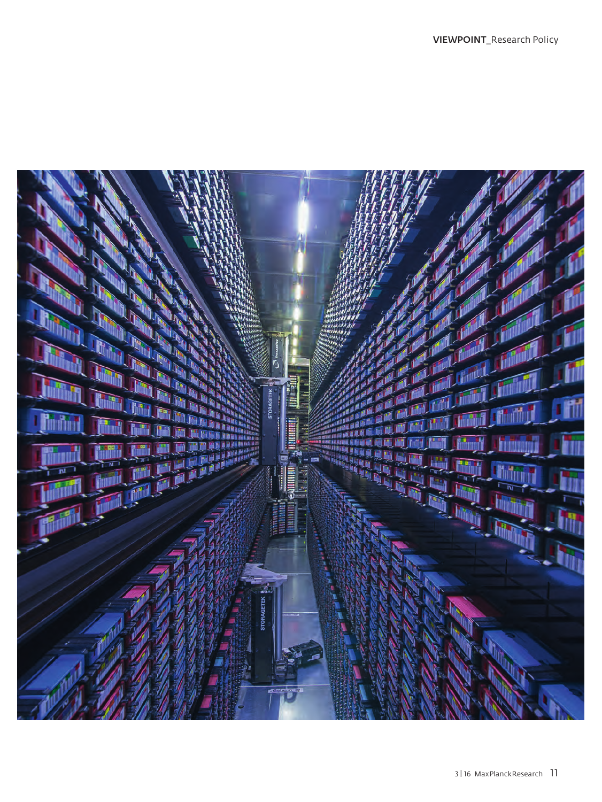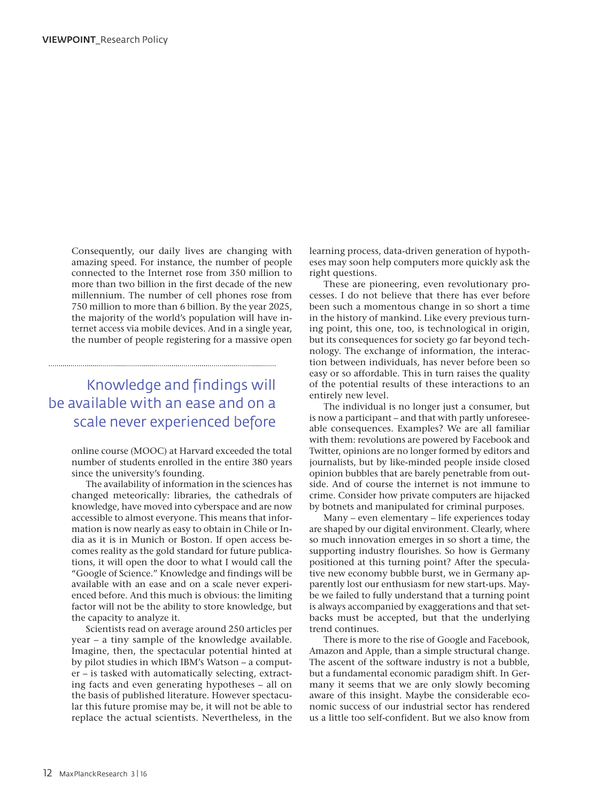Consequently, our daily lives are changing with amazing speed. For instance, the number of people connected to the Internet rose from 350 million to more than two billion in the first decade of the new millennium. The number of cell phones rose from 750 million to more than 6 billion. By the year 2025, the majority of the world's population will have internet access via mobile devices. And in a single year, the number of people registering for a massive open

Knowledge and findings will be available with an ease and on a scale never experienced before

online course (MOOC) at Harvard exceeded the total number of students enrolled in the entire 380 years since the university's founding.

The availability of information in the sciences has changed meteorically: libraries, the cathedrals of knowledge, have moved into cyberspace and are now accessible to almost everyone. This means that information is now nearly as easy to obtain in Chile or India as it is in Munich or Boston. If open access becomes reality as the gold standard for future publications, it will open the door to what I would call the "Google of Science." Knowledge and findings will be available with an ease and on a scale never experienced before. And this much is obvious: the limiting factor will not be the ability to store knowledge, but the capacity to analyze it.

Scientists read on average around 250 articles per year – a tiny sample of the knowledge available. Imagine, then, the spectacular potential hinted at by pilot studies in which IBM's Watson – a computer – is tasked with automatically selecting, extracting facts and even generating hypotheses – all on the basis of published literature. However spectacular this future promise may be, it will not be able to replace the actual scientists. Nevertheless, in the

learning process, data-driven generation of hypotheses may soon help computers more quickly ask the right questions.

These are pioneering, even revolutionary processes. I do not believe that there has ever before been such a momentous change in so short a time in the history of mankind. Like every previous turning point, this one, too, is technological in origin, but its consequences for society go far beyond technology. The exchange of information, the interaction between individuals, has never before been so easy or so affordable. This in turn raises the quality of the potential results of these interactions to an entirely new level.

The individual is no longer just a consumer, but is now a participant – and that with partly unforeseeable consequences. Examples? We are all familiar with them: revolutions are powered by Facebook and Twitter, opinions are no longer formed by editors and journalists, but by like-minded people inside closed opinion bubbles that are barely penetrable from outside. And of course the internet is not immune to crime. Consider how private computers are hijacked by botnets and manipulated for criminal purposes.

Many – even elementary – life experiences today are shaped by our digital environment. Clearly, where so much innovation emerges in so short a time, the supporting industry flourishes. So how is Germany positioned at this turning point? After the speculative new economy bubble burst, we in Germany apparently lost our enthusiasm for new start-ups. Maybe we failed to fully understand that a turning point is always accompanied by exaggerations and that setbacks must be accepted, but that the underlying trend continues.

There is more to the rise of Google and Facebook, Amazon and Apple, than a simple structural change. The ascent of the software industry is not a bubble, but a fundamental economic paradigm shift. In Germany it seems that we are only slowly becoming aware of this insight. Maybe the considerable economic success of our industrial sector has rendered us a little too self-confident. But we also know from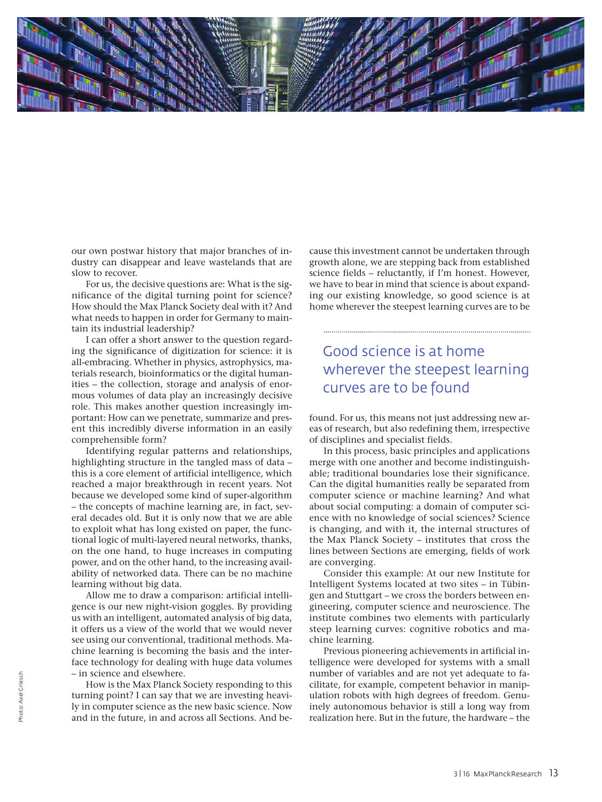

our own postwar history that major branches of industry can disappear and leave wastelands that are slow to recover.

For us, the decisive questions are: What is the significance of the digital turning point for science? How should the Max Planck Society deal with it? And what needs to happen in order for Germany to maintain its industrial leadership?

I can offer a short answer to the question regarding the significance of digitization for science: it is all-embracing. Whether in physics, astrophysics, materials research, bioinformatics or the digital humanities – the collection, storage and analysis of enormous volumes of data play an increasingly decisive role. This makes another question increasingly important: How can we penetrate, summarize and present this incredibly diverse information in an easily comprehensible form?

Identifying regular patterns and relationships, highlighting structure in the tangled mass of data – this is a core element of artificial intelligence, which reached a major breakthrough in recent years. Not because we developed some kind of super-algorithm – the concepts of machine learning are, in fact, several decades old. But it is only now that we are able to exploit what has long existed on paper, the functional logic of multi-layered neural networks, thanks, on the one hand, to huge increases in computing power, and on the other hand, to the increasing availability of networked data. There can be no machine learning without big data.

Allow me to draw a comparison: artificial intelligence is our new night-vision goggles. By providing us with an intelligent, automated analysis of big data, it offers us a view of the world that we would never see using our conventional, traditional methods. Machine learning is becoming the basis and the interface technology for dealing with huge data volumes – in science and elsewhere.

How is the Max Planck Society responding to this turning point? I can say that we are investing heavily in computer science as the new basic science. Now and in the future, in and across all Sections. And because this investment cannot be undertaken through growth alone, we are stepping back from established science fields – reluctantly, if I'm honest. However, we have to bear in mind that science is about expanding our existing knowledge, so good science is at home wherever the steepest learning curves are to be

# Good science is at home wherever the steepest learning curves are to be found

found. For us, this means not just addressing new areas of research, but also redefining them, irrespective of disciplines and specialist fields.

In this process, basic principles and applications merge with one another and become indistinguishable; traditional boundaries lose their significance. Can the digital humanities really be separated from computer science or machine learning? And what about social computing: a domain of computer science with no knowledge of social sciences? Science is changing, and with it, the internal structures of the Max Planck Society – institutes that cross the lines between Sections are emerging, fields of work are converging.

Consider this example: At our new Institute for Intelligent Systems located at two sites – in Tübingen and Stuttgart – we cross the borders between engineering, computer science and neuroscience. The institute combines two elements with particularly steep learning curves: cognitive robotics and machine learning.

Previous pioneering achievements in artificial intelligence were developed for systems with a small number of variables and are not yet adequate to facilitate, for example, competent behavior in manipulation robots with high degrees of freedom. Genuinely autonomous behavior is still a long way from realization here. But in the future, the hardware – the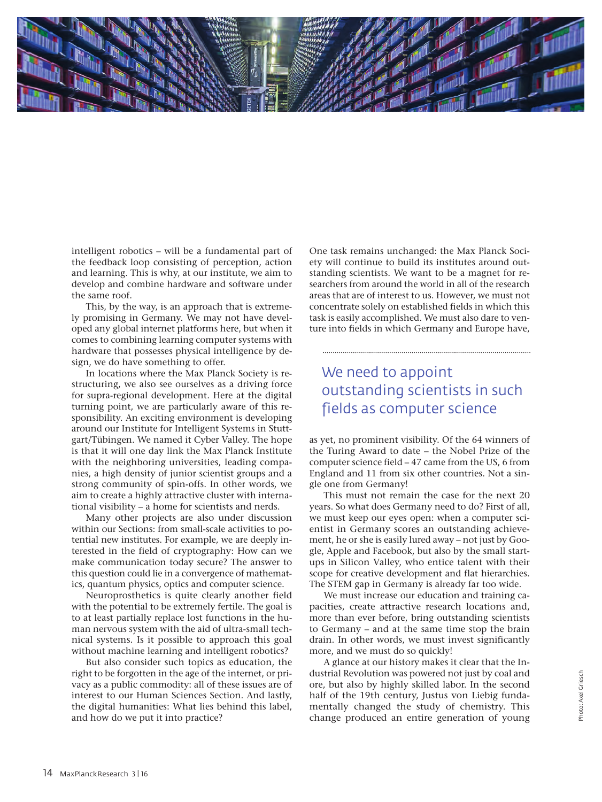

intelligent robotics – will be a fundamental part of the feedback loop consisting of perception, action and learning. This is why, at our institute, we aim to develop and combine hardware and software under the same roof.

This, by the way, is an approach that is extremely promising in Germany. We may not have developed any global internet platforms here, but when it comes to combining learning computer systems with hardware that possesses physical intelligence by design, we do have something to offer.

In locations where the Max Planck Society is restructuring, we also see ourselves as a driving force for supra-regional development. Here at the digital turning point, we are particularly aware of this responsibility. An exciting environment is developing around our Institute for Intelligent Systems in Stuttgart/Tübingen. We named it Cyber Valley. The hope is that it will one day link the Max Planck Institute with the neighboring universities, leading companies, a high density of junior scientist groups and a strong community of spin-offs. In other words, we aim to create a highly attractive cluster with international visibility – a home for scientists and nerds.

Many other projects are also under discussion within our Sections: from small-scale activities to potential new institutes. For example, we are deeply interested in the field of cryptography: How can we make communication today secure? The answer to this question could lie in a convergence of mathematics, quantum physics, optics and computer science.

Neuroprosthetics is quite clearly another field with the potential to be extremely fertile. The goal is to at least partially replace lost functions in the human nervous system with the aid of ultra-small technical systems. Is it possible to approach this goal without machine learning and intelligent robotics?

But also consider such topics as education, the right to be forgotten in the age of the internet, or privacy as a public commodity: all of these issues are of interest to our Human Sciences Section. And lastly, the digital humanities: What lies behind this label, and how do we put it into practice?

One task remains unchanged: the Max Planck Society will continue to build its institutes around outstanding scientists. We want to be a magnet for researchers from around the world in all of the research areas that are of interest to us. However, we must not concentrate solely on established fields in which this task is easily accomplished. We must also dare to venture into fields in which Germany and Europe have,

## We need to appoint outstanding scientists in such fields as computer science

as yet, no prominent visibility. Of the 64 winners of the Turing Award to date – the Nobel Prize of the computer science field – 47 came from the US, 6 from England and 11 from six other countries. Not a single one from Germany!

This must not remain the case for the next 20 years. So what does Germany need to do? First of all, we must keep our eyes open: when a computer scientist in Germany scores an outstanding achievement, he or she is easily lured away – not just by Google, Apple and Facebook, but also by the small startups in Silicon Valley, who entice talent with their scope for creative development and flat hierarchies. The STEM gap in Germany is already far too wide.

We must increase our education and training capacities, create attractive research locations and, more than ever before, bring outstanding scientists to Germany – and at the same time stop the brain drain. In other words, we must invest significantly more, and we must do so quickly!

A glance at our history makes it clear that the Industrial Revolution was powered not just by coal and ore, but also by highly skilled labor. In the second half of the 19th century, Justus von Liebig fundamentally changed the study of chemistry. This change produced an entire generation of young